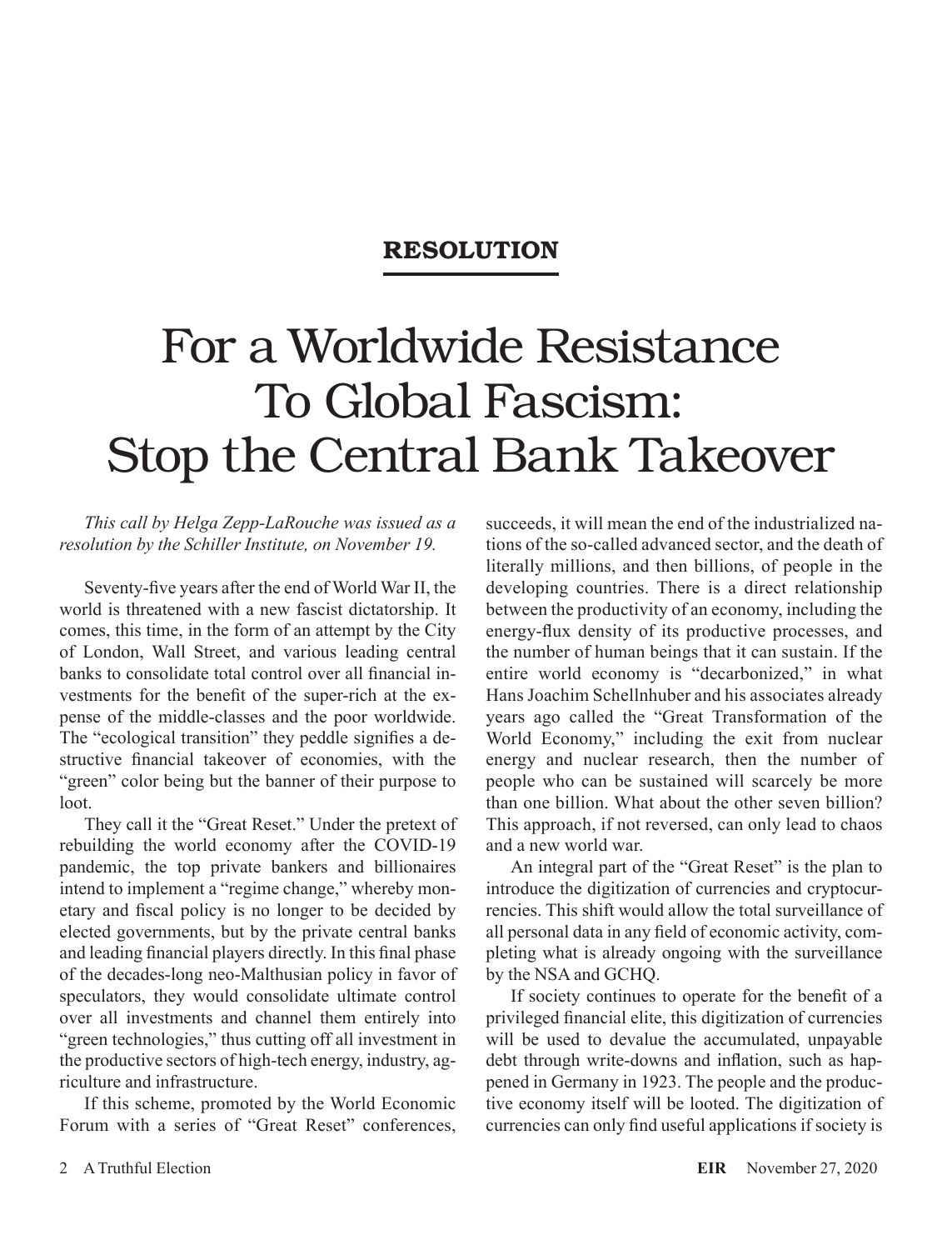## **RESOLUTION**

# For a Worldwide Resistance To Global Fascism: Stop the Central Bank Takeover

#### *This call by Helga Zepp-LaRouche was issued as a resolution by the Schiller Institute, on November 19.*

Seventy-five years after the end of World War II, the world is threatened with a new fascist dictatorship. It comes, this time, in the form of an attempt by the City of London, Wall Street, and various leading central banks to consolidate total control over all financial investments for the benefit of the super-rich at the expense of the middle-classes and the poor worldwide. The "ecological transition" they peddle signifies a destructive financial takeover of economies, with the "green" color being but the banner of their purpose to loot.

They call it the "Great Reset." Under the pretext of rebuilding the world economy after the COVID-19 pandemic, the top private bankers and billionaires intend to implement a "regime change," whereby monetary and fiscal policy is no longer to be decided by elected governments, but by the private central banks and leading financial players directly. In this final phase of the decades-long neo-Malthusian policy in favor of speculators, they would consolidate ultimate control over all investments and channel them entirely into "green technologies," thus cutting off all investment in the productive sectors of high-tech energy, industry, agriculture and infrastructure.

If this scheme, promoted by the World Economic Forum with a series of "Great Reset" conferences,

succeeds, it will mean the end of the industrialized nations of the so-called advanced sector, and the death of literally millions, and then billions, of people in the developing countries. There is a direct relationship between the productivity of an economy, including the energy-flux density of its productive processes, and the number of human beings that it can sustain. If the entire world economy is "decarbonized," in what Hans Joachim Schellnhuber and his associates already years ago called the "Great Transformation of the World Economy," including the exit from nuclear energy and nuclear research, then the number of people who can be sustained will scarcely be more than one billion. What about the other seven billion? This approach, if not reversed, can only lead to chaos and a new world war.

An integral part of the "Great Reset" is the plan to introduce the digitization of currencies and cryptocurrencies. This shift would allow the total surveillance of all personal data in any field of economic activity, completing what is already ongoing with the surveillance by the NSA and GCHQ.

If society continues to operate for the benefit of a privileged financial elite, this digitization of currencies will be used to devalue the accumulated, unpayable debt through write-downs and inflation, such as happened in Germany in 1923. The people and the productive economy itself will be looted. The digitization of currencies can only find useful applications if society is